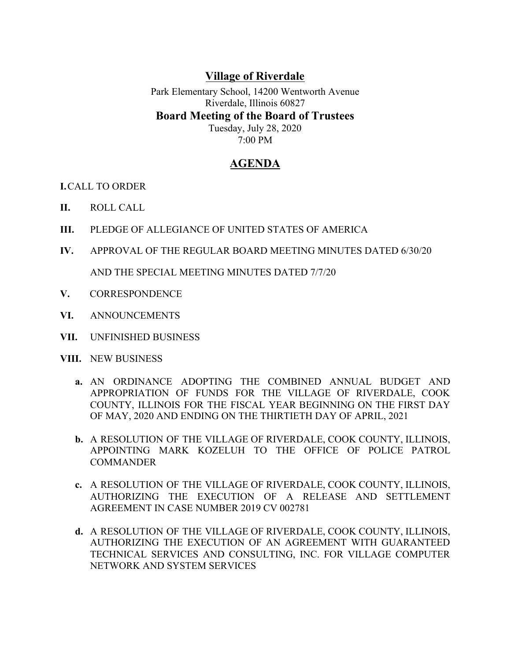## **Village of Riverdale**

Park Elementary School, 14200 Wentworth Avenue Riverdale, Illinois 60827 **Board Meeting of the Board of Trustees** Tuesday, July 28, 2020 7:00 PM

## **AGENDA**

**I.**CALL TO ORDER

- **II.** ROLL CALL
- **III.** PLEDGE OF ALLEGIANCE OF UNITED STATES OF AMERICA
- **IV.** APPROVAL OF THE REGULAR BOARD MEETING MINUTES DATED 6/30/20 AND THE SPECIAL MEETING MINUTES DATED 7/7/20
- **V.** CORRESPONDENCE
- **VI.** ANNOUNCEMENTS
- **VII.** UNFINISHED BUSINESS
- **VIII.** NEW BUSINESS
	- **a.** AN ORDINANCE ADOPTING THE COMBINED ANNUAL BUDGET AND APPROPRIATION OF FUNDS FOR THE VILLAGE OF RIVERDALE, COOK COUNTY, ILLINOIS FOR THE FISCAL YEAR BEGINNING ON THE FIRST DAY OF MAY, 2020 AND ENDING ON THE THIRTIETH DAY OF APRIL, 2021
	- **b.** A RESOLUTION OF THE VILLAGE OF RIVERDALE, COOK COUNTY, ILLINOIS, APPOINTING MARK KOZELUH TO THE OFFICE OF POLICE PATROL **COMMANDER**
	- **c.** A RESOLUTION OF THE VILLAGE OF RIVERDALE, COOK COUNTY, ILLINOIS, AUTHORIZING THE EXECUTION OF A RELEASE AND SETTLEMENT AGREEMENT IN CASE NUMBER 2019 CV 002781
	- **d.** A RESOLUTION OF THE VILLAGE OF RIVERDALE, COOK COUNTY, ILLINOIS, AUTHORIZING THE EXECUTION OF AN AGREEMENT WITH GUARANTEED TECHNICAL SERVICES AND CONSULTING, INC. FOR VILLAGE COMPUTER NETWORK AND SYSTEM SERVICES